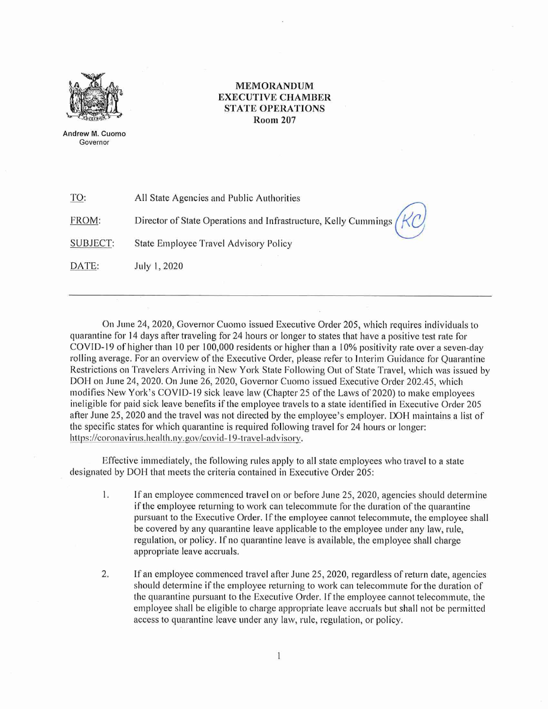

MEMORANDUM EXECUTIVE CHAMBER STATE OPERATIONS Room 207

Andrew M. Cuomo Governor

|  | TO: | All State Agencies and Public Authorities |
|--|-----|-------------------------------------------|
|--|-----|-------------------------------------------|

FROM: Director of State Operations and Infrastructure, Kelly Cummings

SUBJECT: State Employee Travel Advisory Policy

DATE: July I, 2020

On June 24, 2020, Governor Cuomo issued Executive Order 205, which requires individuals to quarantine for 14 days after traveling for 24 hours or longer to states that have a positive test rate for COVID-19 of higher than 10 per 100,000 residents or higher than a 10% positivity rate over a seven-day rolling average. For an overview of the Executive Order, please refer to Interim Guidance for Quarantine Restrictions on Travelers Arriving in New York State Following Out of State Travel, which was issued by DOH on June 24, 2020. On June 26, 2020, Governor Cuomo issued Executive Order 202.45, which modifies New York's COVID-19 sick leave law (Chapter 25 of the Laws of 2020) to make employees ineligible for paid sick leave benefits if the employee travels to a state identified in Executive Order 205 after June 25, 2020 and the travel was not directed by the employee's employer. DOH maintains a list of the specific states for which quarantine is required following travel for 24 hours or longer: https://coronavirus.health.ny.gov/covid-19-travel-advisory.

Effective immediately, the following rules apply to all state employees who travel to a state designated by DOH that meets the criteria contained in Executive Order 205:

- I. If an employee commenced travel on or before June 25, 2020, agencies should determine if the employee returning to work can telecommute for the duration of the quarantine pursuant to the Executive Order. If the employee cannot telecommute, the employee shall be covered by any quarantine leave applicable to the employee under any law, rule, regulation, or policy. lf no quarantine leave is available, the employee shall charge appropriate leave accruals.
- 2. If an employee commenced travel after June 25, 2020, regardless of return date, agencies should determine if the employee returning to work can telecommute for the duration of the quarantine pursuant to the Executive Order. If the employee cannot telecommute, the employee shall be eligible to charge appropriate leave accruals but shall not be permitted access to quarantine leave under any law, rule, regulation, or policy.